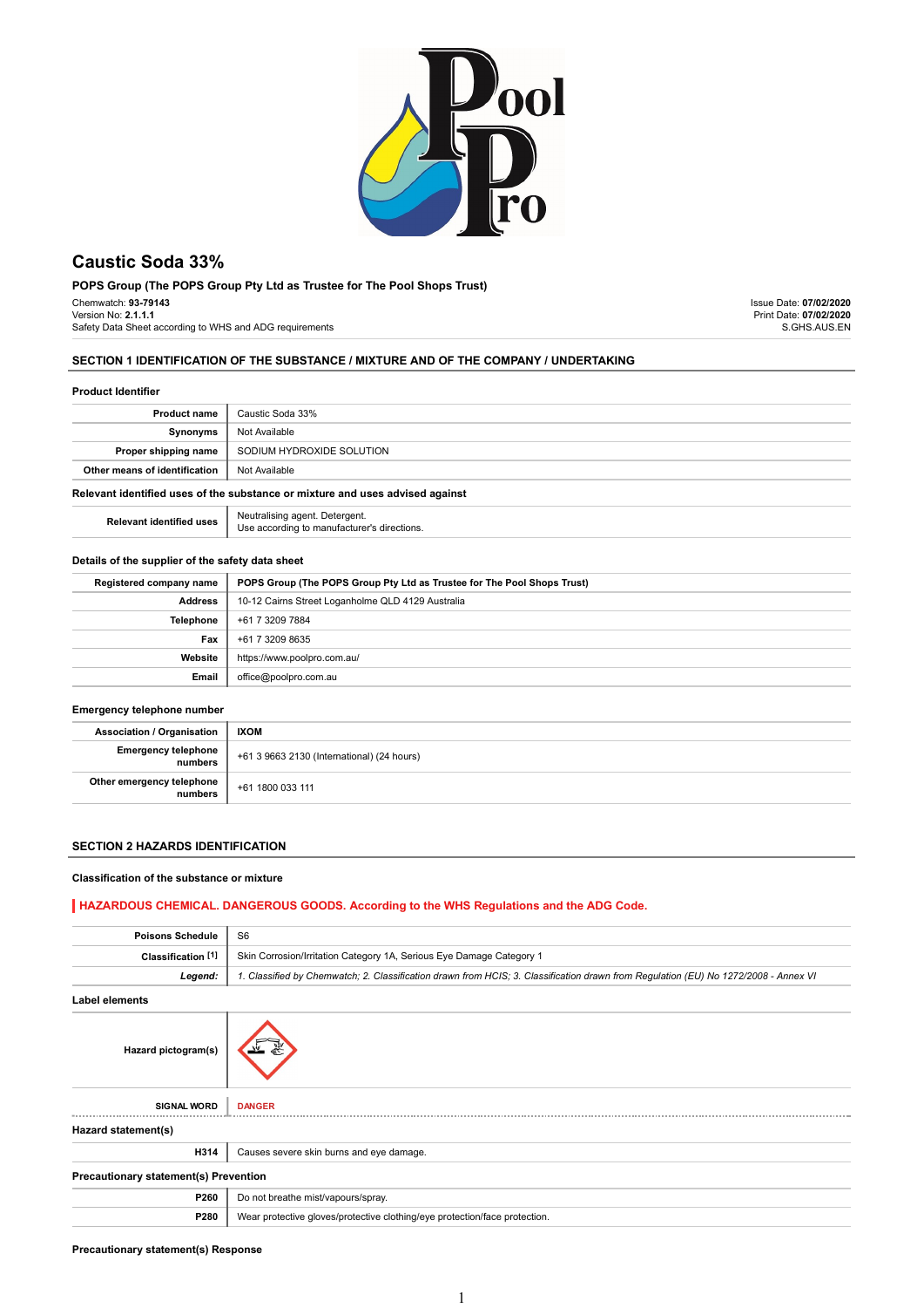

# Caustic Soda 33%

POPS Group (The POPS Group Pty Ltd as Trustee for The Pool Shops Trust) Chemwatch: 93-79143 Version No: 2.1.1.1 Safety Data Sheet according to WHS and ADG requirements

Issue Date: 07/02/2020 Print Date: 07/02/2020 S.GHS.AUS.EN

# SECTION 1 IDENTIFICATION OF THE SUBSTANCE / MIXTURE AND OF THE COMPANY / UNDERTAKING

#### Product Identifier

| Product name                                                                  | Caustic Soda 33%                                                              |  |
|-------------------------------------------------------------------------------|-------------------------------------------------------------------------------|--|
| Synonyms                                                                      | Not Available                                                                 |  |
| Proper shipping name                                                          | SODIUM HYDROXIDE SOLUTION                                                     |  |
| Other means of identification                                                 | Not Available                                                                 |  |
| Relevant identified uses of the substance or mixture and uses advised against |                                                                               |  |
| <b>Relevant identified uses</b>                                               | Neutralising agent. Detergent.<br>Use according to manufacturer's directions. |  |

# Details of the supplier of the safety data sheet

| Registered company name | POPS Group (The POPS Group Pty Ltd as Trustee for The Pool Shops Trust) |
|-------------------------|-------------------------------------------------------------------------|
| <b>Address</b>          | 10-12 Cairns Street Loganholme QLD 4129 Australia                       |
| Telephone               | +61 7 3209 7884                                                         |
| Fax                     | +61 7 3209 8635                                                         |
| Website                 | https://www.poolpro.com.au/                                             |
| Email                   | office@poolpro.com.au                                                   |

# Emergency telephone number

| <b>Association / Organisation</b>    | <b>IXOM</b>                                |
|--------------------------------------|--------------------------------------------|
| Emergency telephone<br>numbers       | +61 3 9663 2130 (International) (24 hours) |
| Other emergency telephone<br>numbers | +61 1800 033 111                           |

# SECTION 2 HAZARDS IDENTIFICATION

# Classification of the substance or mixture

# HAZARDOUS CHEMICAL. DANGEROUS GOODS. According to the WHS Regulations and the ADG Code.

| <b>Poisons Schedule</b>                      | S <sub>6</sub>                                                                                                                      |  |
|----------------------------------------------|-------------------------------------------------------------------------------------------------------------------------------------|--|
| Classification <sup>[1]</sup>                | Skin Corrosion/Irritation Category 1A, Serious Eye Damage Category 1                                                                |  |
| Legend:                                      | 1. Classified by Chemwatch; 2. Classification drawn from HCIS; 3. Classification drawn from Regulation (EU) No 1272/2008 - Annex VI |  |
| <b>Label elements</b>                        |                                                                                                                                     |  |
| Hazard pictogram(s)                          |                                                                                                                                     |  |
| <b>SIGNAL WORD</b>                           | <b>DANGER</b>                                                                                                                       |  |
| Hazard statement(s)                          |                                                                                                                                     |  |
| H314                                         | Causes severe skin burns and eye damage.                                                                                            |  |
| <b>Precautionary statement(s) Prevention</b> |                                                                                                                                     |  |
| P260                                         | Do not breathe mist/vapours/spray.                                                                                                  |  |
| P280                                         | Wear protective gloves/protective clothing/eye protection/face protection.                                                          |  |
|                                              |                                                                                                                                     |  |

# Precautionary statement(s) Response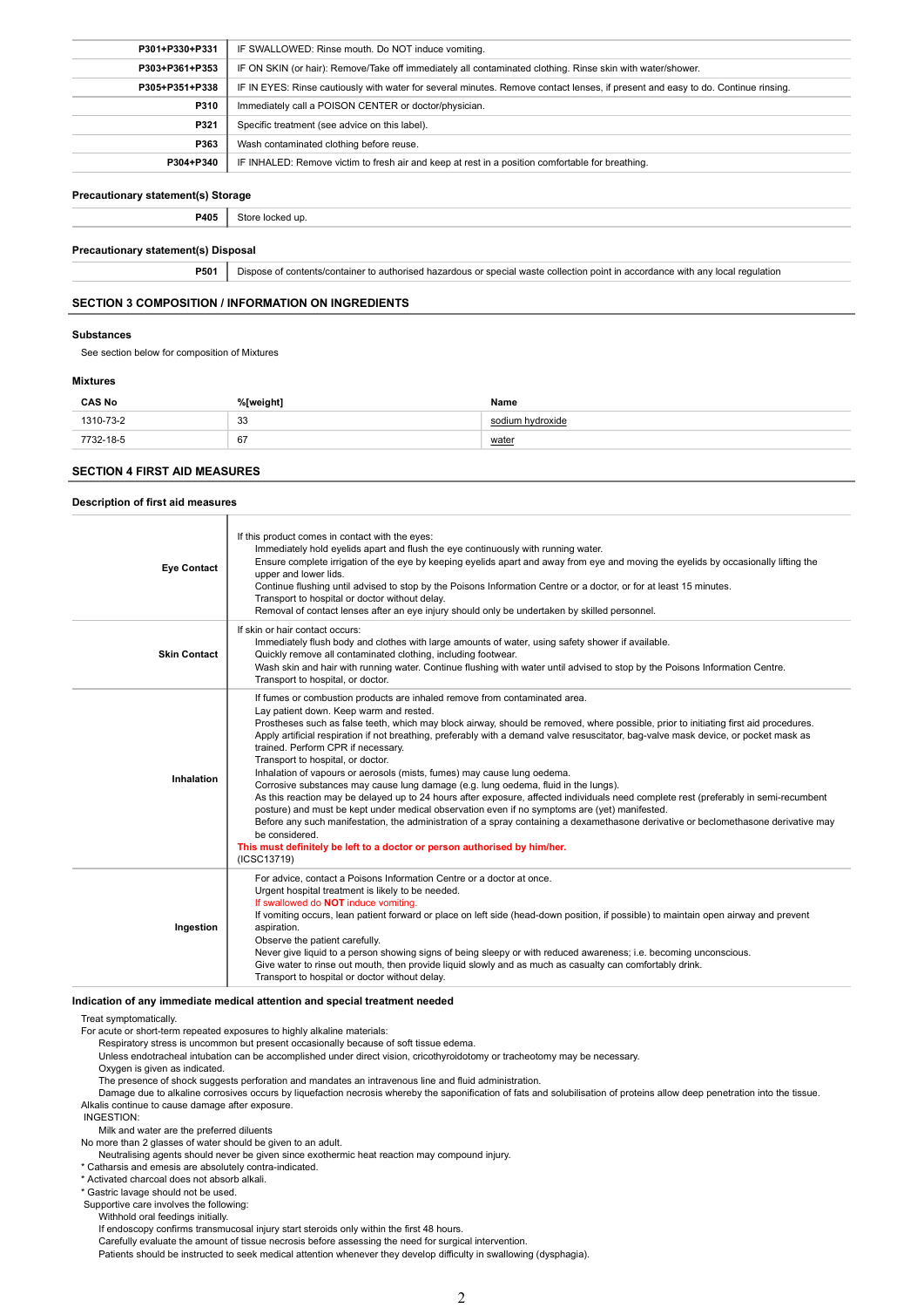| P301+P330+P331 | IF SWALLOWED: Rinse mouth. Do NOT induce vomiting.                                                                               |  |
|----------------|----------------------------------------------------------------------------------------------------------------------------------|--|
| P303+P361+P353 | IF ON SKIN (or hair): Remove/Take off immediately all contaminated clothing. Rinse skin with water/shower.                       |  |
| P305+P351+P338 | IF IN EYES: Rinse cautiously with water for several minutes. Remove contact lenses, if present and easy to do. Continue rinsing. |  |
| P310           | Immediately call a POISON CENTER or doctor/physician.                                                                            |  |
| P321           | Specific treatment (see advice on this label).                                                                                   |  |
| P363           | Wash contaminated clothing before reuse.                                                                                         |  |
| P304+P340      | IF INHALED: Remove victim to fresh air and keep at rest in a position comfortable for breathing.                                 |  |

# Precautionary statement(s) Storage

P405 Store locked up.

#### Precautionary statement(s) Disposal

P501 Dispose of contents/container to authorised hazardous or special waste collection point in accordance with any local regulation

#### SECTION 3 COMPOSITION / INFORMATION ON INGREDIENTS

#### Substances

See section below for composition of Mixtures

#### Mixtures

| <b>CAS No</b> | %[weight] | Name             |
|---------------|-----------|------------------|
| 1310-73-2     | 33        | sodium hvdroxide |
| 7732-18-5     | 67        | <u>water</u>     |

# SECTION 4 FIRST AID MEASURES

#### Description of first aid measures

| <b>Eye Contact</b>  | If this product comes in contact with the eyes:<br>Immediately hold eyelids apart and flush the eye continuously with running water.<br>Ensure complete irrigation of the eye by keeping eyelids apart and away from eye and moving the eyelids by occasionally lifting the<br>upper and lower lids.<br>Continue flushing until advised to stop by the Poisons Information Centre or a doctor, or for at least 15 minutes.<br>Transport to hospital or doctor without delay.<br>Removal of contact lenses after an eye injury should only be undertaken by skilled personnel.                                                                                                                                                                                                                                                                                                                                                                                                                                                                                                                                                                   |  |
|---------------------|-------------------------------------------------------------------------------------------------------------------------------------------------------------------------------------------------------------------------------------------------------------------------------------------------------------------------------------------------------------------------------------------------------------------------------------------------------------------------------------------------------------------------------------------------------------------------------------------------------------------------------------------------------------------------------------------------------------------------------------------------------------------------------------------------------------------------------------------------------------------------------------------------------------------------------------------------------------------------------------------------------------------------------------------------------------------------------------------------------------------------------------------------|--|
| <b>Skin Contact</b> | If skin or hair contact occurs:<br>Immediately flush body and clothes with large amounts of water, using safety shower if available.<br>Quickly remove all contaminated clothing, including footwear.<br>Wash skin and hair with running water. Continue flushing with water until advised to stop by the Poisons Information Centre.<br>Transport to hospital, or doctor.                                                                                                                                                                                                                                                                                                                                                                                                                                                                                                                                                                                                                                                                                                                                                                      |  |
| Inhalation          | If fumes or combustion products are inhaled remove from contaminated area.<br>Lay patient down. Keep warm and rested.<br>Prostheses such as false teeth, which may block airway, should be removed, where possible, prior to initiating first aid procedures.<br>Apply artificial respiration if not breathing, preferably with a demand valve resuscitator, bag-valve mask device, or pocket mask as<br>trained. Perform CPR if necessary.<br>Transport to hospital, or doctor.<br>Inhalation of vapours or aerosols (mists, fumes) may cause lung oedema.<br>Corrosive substances may cause lung damage (e.g. lung oedema, fluid in the lungs).<br>As this reaction may be delayed up to 24 hours after exposure, affected individuals need complete rest (preferably in semi-recumbent<br>posture) and must be kept under medical observation even if no symptoms are (yet) manifested.<br>Before any such manifestation, the administration of a spray containing a dexamethasone derivative or beclomethasone derivative may<br>be considered.<br>This must definitely be left to a doctor or person authorised by him/her.<br>(ICSC13719) |  |
| Ingestion           | For advice, contact a Poisons Information Centre or a doctor at once.<br>Urgent hospital treatment is likely to be needed.<br>If swallowed do NOT induce vomiting.<br>If vomiting occurs, lean patient forward or place on left side (head-down position, if possible) to maintain open airway and prevent<br>aspiration.<br>Observe the patient carefully.<br>Never give liquid to a person showing signs of being sleepy or with reduced awareness; i.e. becoming unconscious.<br>Give water to rinse out mouth, then provide liquid slowly and as much as casualty can comfortably drink.<br>Transport to hospital or doctor without delay.                                                                                                                                                                                                                                                                                                                                                                                                                                                                                                  |  |

#### Indication of any immediate medical attention and special treatment needed

Treat symptomatically.

For acute or short-term repeated exposures to highly alkaline materials:

Respiratory stress is uncommon but present occasionally because of soft tissue edema.

Unless endotracheal intubation can be accomplished under direct vision, cricothyroidotomy or tracheotomy may be necessary.

Oxygen is given as indicated.

The presence of shock suggests perforation and mandates an intravenous line and fluid administration.

Damage due to alkaline corrosives occurs by liquefaction necrosis whereby the saponification of fats and solubilisation of proteins allow deep penetration into the tissue. Alkalis continue to cause damage after exposure.

INGESTION:

Milk and water are the preferred diluents

No more than 2 glasses of water should be given to an adult.

Neutralising agents should never be given since exothermic heat reaction may compound injury.

\* Catharsis and emesis are absolutely contra-indicated.

\* Activated charcoal does not absorb alkali.

\* Gastric lavage should not be used.

Supportive care involves the following:

..<br>Withhold oral feedings initially.

If endoscopy confirms transmucosal injury start steroids only within the first 48 hours.

Carefully evaluate the amount of tissue necrosis before assessing the need for surgical intervention.

Patients should be instructed to seek medical attention whenever they develop difficulty in swallowing (dysphagia).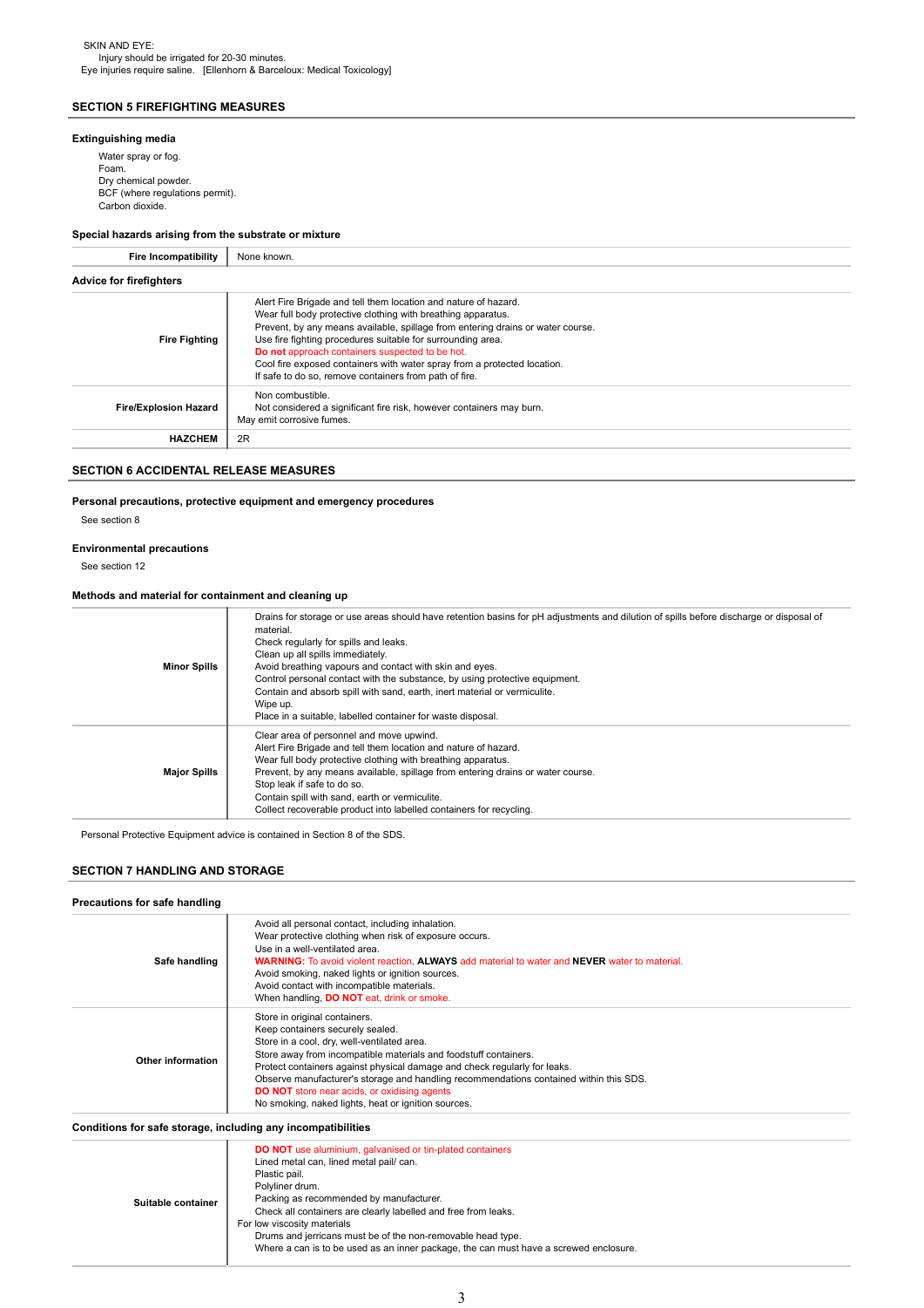# SECTION 5 FIREFIGHTING MEASURES

# Extinguishing media

Water spray or fog. Foam. Dry chemical powder. BCF (where regulations permit). Carbon dioxide.

# Special hazards arising from the substrate or mixture

| <b>Fire Incompatibility</b>    | None known.                                                                                                                                                                                                                                                                                                                                                                                                                                                                |  |
|--------------------------------|----------------------------------------------------------------------------------------------------------------------------------------------------------------------------------------------------------------------------------------------------------------------------------------------------------------------------------------------------------------------------------------------------------------------------------------------------------------------------|--|
| <b>Advice for firefighters</b> |                                                                                                                                                                                                                                                                                                                                                                                                                                                                            |  |
| <b>Fire Fighting</b>           | Alert Fire Brigade and tell them location and nature of hazard.<br>Wear full body protective clothing with breathing apparatus.<br>Prevent, by any means available, spillage from entering drains or water course.<br>Use fire fighting procedures suitable for surrounding area.<br>Do not approach containers suspected to be hot.<br>Cool fire exposed containers with water spray from a protected location.<br>If safe to do so, remove containers from path of fire. |  |
| <b>Fire/Explosion Hazard</b>   | Non combustible.<br>Not considered a significant fire risk, however containers may burn.<br>May emit corrosive fumes.                                                                                                                                                                                                                                                                                                                                                      |  |
| <b>HAZCHEM</b>                 | 2R                                                                                                                                                                                                                                                                                                                                                                                                                                                                         |  |

# SECTION 6 ACCIDENTAL RELEASE MEASURES

# Personal precautions, protective equipment and emergency procedures

See section 8

# Environmental precautions

See section 12

# Methods and material for containment and cleaning up

| <b>Minor Spills</b> | Drains for storage or use areas should have retention basins for pH adjustments and dilution of spills before discharge or disposal of<br>material.<br>Check regularly for spills and leaks.<br>Clean up all spills immediately.<br>Avoid breathing vapours and contact with skin and eyes.<br>Control personal contact with the substance, by using protective equipment.<br>Contain and absorb spill with sand, earth, inert material or vermiculite.<br>Wipe up.<br>Place in a suitable, labelled container for waste disposal. |
|---------------------|------------------------------------------------------------------------------------------------------------------------------------------------------------------------------------------------------------------------------------------------------------------------------------------------------------------------------------------------------------------------------------------------------------------------------------------------------------------------------------------------------------------------------------|
| <b>Major Spills</b> | Clear area of personnel and move upwind.<br>Alert Fire Brigade and tell them location and nature of hazard.<br>Wear full body protective clothing with breathing apparatus.<br>Prevent, by any means available, spillage from entering drains or water course.<br>Stop leak if safe to do so.<br>Contain spill with sand, earth or vermiculite.<br>Collect recoverable product into labelled containers for recycling.                                                                                                             |

Personal Protective Equipment advice is contained in Section 8 of the SDS.

# SECTION 7 HANDLING AND STORAGE

#### Precautions for safe handling

|                   | Avoid all personal contact, including inhalation.                                                    |
|-------------------|------------------------------------------------------------------------------------------------------|
|                   | Wear protective clothing when risk of exposure occurs.                                               |
|                   | Use in a well-ventilated area.                                                                       |
| Safe handling     | <b>WARNING:</b> To avoid violent reaction. ALWAYS add material to water and NEVER water to material. |
|                   | Avoid smoking, naked lights or ignition sources.                                                     |
|                   | Avoid contact with incompatible materials.                                                           |
|                   | When handling, <b>DO NOT</b> eat, drink or smoke.                                                    |
|                   | Store in original containers.                                                                        |
|                   | Keep containers securely sealed.                                                                     |
|                   | Store in a cool, dry, well-ventilated area.                                                          |
|                   | Store away from incompatible materials and foodstuff containers.                                     |
| Other information | Protect containers against physical damage and check regularly for leaks.                            |
|                   | Observe manufacturer's storage and handling recommendations contained within this SDS.               |
|                   | <b>DO NOT</b> store near acids, or oxidising agents                                                  |
|                   | No smoking, naked lights, heat or ignition sources.                                                  |

| Conditions for safe storage, including any incompatibilities |  |
|--------------------------------------------------------------|--|
|--------------------------------------------------------------|--|

| Suitable container | <b>DO NOT</b> use aluminium, galvanised or tin-plated containers<br>Lined metal can, lined metal pail/ can.<br>Plastic pail.<br>Polyliner drum.<br>Packing as recommended by manufacturer.<br>Check all containers are clearly labelled and free from leaks.<br>For low viscosity materials<br>Drums and jerricans must be of the non-removable head type.<br>Where a can is to be used as an inner package, the can must have a screwed enclosure. |
|--------------------|-----------------------------------------------------------------------------------------------------------------------------------------------------------------------------------------------------------------------------------------------------------------------------------------------------------------------------------------------------------------------------------------------------------------------------------------------------|
|--------------------|-----------------------------------------------------------------------------------------------------------------------------------------------------------------------------------------------------------------------------------------------------------------------------------------------------------------------------------------------------------------------------------------------------------------------------------------------------|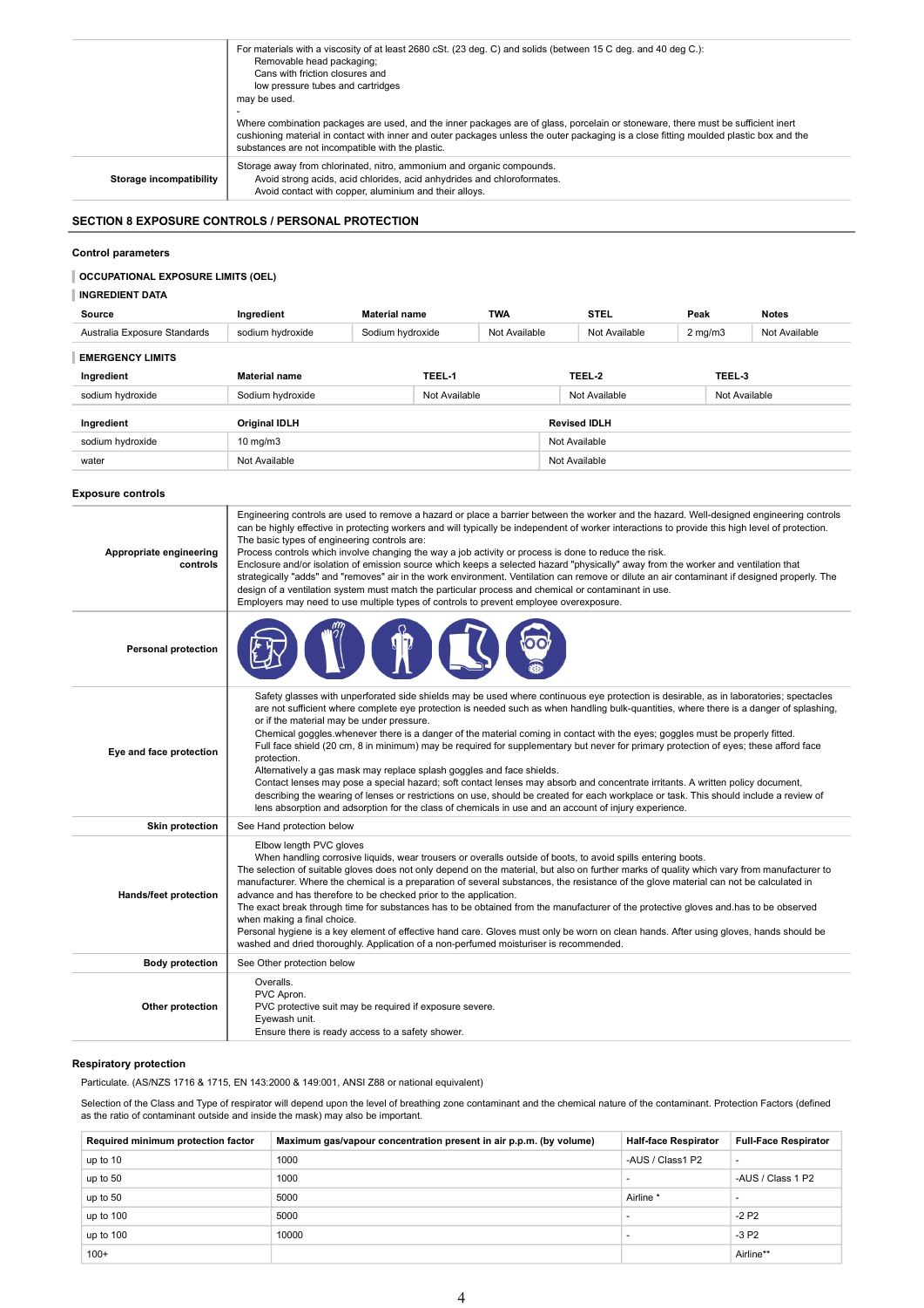| For materials with a viscosity of at least 2680 cSt. (23 deg. C) and solids (between 15 C deg. and 40 deg C.):<br>Removable head packaging;                                                                                                                                                                                     |
|---------------------------------------------------------------------------------------------------------------------------------------------------------------------------------------------------------------------------------------------------------------------------------------------------------------------------------|
| Cans with friction closures and                                                                                                                                                                                                                                                                                                 |
| low pressure tubes and cartridges                                                                                                                                                                                                                                                                                               |
| may be used.                                                                                                                                                                                                                                                                                                                    |
|                                                                                                                                                                                                                                                                                                                                 |
| Where combination packages are used, and the inner packages are of glass, porcelain or stoneware, there must be sufficient inert<br>cushioning material in contact with inner and outer packages unless the outer packaging is a close fitting moulded plastic box and the<br>substances are not incompatible with the plastic. |
| Storage away from chlorinated, nitro, ammonium and organic compounds.<br>Avoid strong acids, acid chlorides, acid anhydrides and chloroformates.                                                                                                                                                                                |
|                                                                                                                                                                                                                                                                                                                                 |

# SECTION 8 EXPOSURE CONTROLS / PERSONAL PROTECTION

#### Control parameters

# OCCUPATIONAL EXPOSURE LIMITS (OEL)

# | INGREDIENT DATA

| Source                       | Ingredient           | <b>Material name</b> |               | <b>TWA</b>    |               | <b>STEL</b>         | Peak             |               | <b>Notes</b>  |
|------------------------------|----------------------|----------------------|---------------|---------------|---------------|---------------------|------------------|---------------|---------------|
| Australia Exposure Standards | sodium hydroxide     | Sodium hydroxide     |               | Not Available |               | Not Available       | $2 \text{ mg/m}$ |               | Not Available |
| <b>EMERGENCY LIMITS</b>      |                      |                      |               |               |               |                     |                  |               |               |
| Ingredient                   | <b>Material name</b> |                      | TEEL-1        |               |               | TEEL-2              |                  | TEEL-3        |               |
| sodium hydroxide             | Sodium hydroxide     |                      | Not Available |               |               | Not Available       |                  | Not Available |               |
| Ingredient                   | <b>Original IDLH</b> |                      |               |               |               | <b>Revised IDLH</b> |                  |               |               |
| sodium hydroxide             | $10 \text{ mg/m}$    |                      |               |               | Not Available |                     |                  |               |               |
| water                        | Not Available        |                      |               |               | Not Available |                     |                  |               |               |

# Exposure controls

| Appropriate engineering<br>controls | Engineering controls are used to remove a hazard or place a barrier between the worker and the hazard. Well-designed engineering controls<br>can be highly effective in protecting workers and will typically be independent of worker interactions to provide this high level of protection.<br>The basic types of engineering controls are:<br>Process controls which involve changing the way a job activity or process is done to reduce the risk.<br>Enclosure and/or isolation of emission source which keeps a selected hazard "physically" away from the worker and ventilation that<br>strategically "adds" and "removes" air in the work environment. Ventilation can remove or dilute an air contaminant if designed properly. The<br>design of a ventilation system must match the particular process and chemical or contaminant in use.<br>Employers may need to use multiple types of controls to prevent employee overexposure.                                                                                                                                      |
|-------------------------------------|--------------------------------------------------------------------------------------------------------------------------------------------------------------------------------------------------------------------------------------------------------------------------------------------------------------------------------------------------------------------------------------------------------------------------------------------------------------------------------------------------------------------------------------------------------------------------------------------------------------------------------------------------------------------------------------------------------------------------------------------------------------------------------------------------------------------------------------------------------------------------------------------------------------------------------------------------------------------------------------------------------------------------------------------------------------------------------------|
| <b>Personal protection</b>          |                                                                                                                                                                                                                                                                                                                                                                                                                                                                                                                                                                                                                                                                                                                                                                                                                                                                                                                                                                                                                                                                                      |
| Eye and face protection             | Safety glasses with unperforated side shields may be used where continuous eye protection is desirable, as in laboratories; spectacles<br>are not sufficient where complete eye protection is needed such as when handling bulk-quantities, where there is a danger of splashing,<br>or if the material may be under pressure.<br>Chemical goggles whenever there is a danger of the material coming in contact with the eyes; goggles must be properly fitted.<br>Full face shield (20 cm, 8 in minimum) may be required for supplementary but never for primary protection of eyes; these afford face<br>protection.<br>Alternatively a gas mask may replace splash goggles and face shields.<br>Contact lenses may pose a special hazard; soft contact lenses may absorb and concentrate irritants. A written policy document,<br>describing the wearing of lenses or restrictions on use, should be created for each workplace or task. This should include a review of<br>lens absorption and adsorption for the class of chemicals in use and an account of injury experience. |
| Skin protection                     | See Hand protection below                                                                                                                                                                                                                                                                                                                                                                                                                                                                                                                                                                                                                                                                                                                                                                                                                                                                                                                                                                                                                                                            |
| <b>Hands/feet protection</b>        | Elbow length PVC gloves<br>When handling corrosive liquids, wear trousers or overalls outside of boots, to avoid spills entering boots.<br>The selection of suitable gloves does not only depend on the material, but also on further marks of quality which vary from manufacturer to<br>manufacturer. Where the chemical is a preparation of several substances, the resistance of the glove material can not be calculated in<br>advance and has therefore to be checked prior to the application.<br>The exact break through time for substances has to be obtained from the manufacturer of the protective gloves and has to be observed<br>when making a final choice.<br>Personal hygiene is a key element of effective hand care. Gloves must only be worn on clean hands. After using gloves, hands should be<br>washed and dried thoroughly. Application of a non-perfumed moisturiser is recommended.                                                                                                                                                                     |
| <b>Body protection</b>              | See Other protection below                                                                                                                                                                                                                                                                                                                                                                                                                                                                                                                                                                                                                                                                                                                                                                                                                                                                                                                                                                                                                                                           |
| Other protection                    | Overalls.<br>PVC Apron.<br>PVC protective suit may be required if exposure severe.<br>Eyewash unit.<br>Ensure there is ready access to a safety shower.                                                                                                                                                                                                                                                                                                                                                                                                                                                                                                                                                                                                                                                                                                                                                                                                                                                                                                                              |

# Respiratory protection

Particulate. (AS/NZS 1716 & 1715, EN 143:2000 & 149:001, ANSI Z88 or national equivalent)

Selection of the Class and Type of respirator will depend upon the level of breathing zone contaminant and the chemical nature of the contaminant. Protection Factors (defined as the ratio of contaminant outside and inside the mask) may also be important.

| Required minimum protection factor | Maximum gas/vapour concentration present in air p.p.m. (by volume) | <b>Half-face Respirator</b> | <b>Full-Face Respirator</b> |
|------------------------------------|--------------------------------------------------------------------|-----------------------------|-----------------------------|
| up to 10                           | 1000                                                               | -AUS / Class1 P2            | $\overline{a}$              |
| up to 50                           | 1000                                                               |                             | -AUS / Class 1 P2           |
| up to 50                           | 5000                                                               | Airline *                   |                             |
| up to 100                          | 5000                                                               |                             | $-2P2$                      |
| up to 100                          | 10000                                                              |                             | $-3P2$                      |
| $100+$                             |                                                                    |                             | Airline**                   |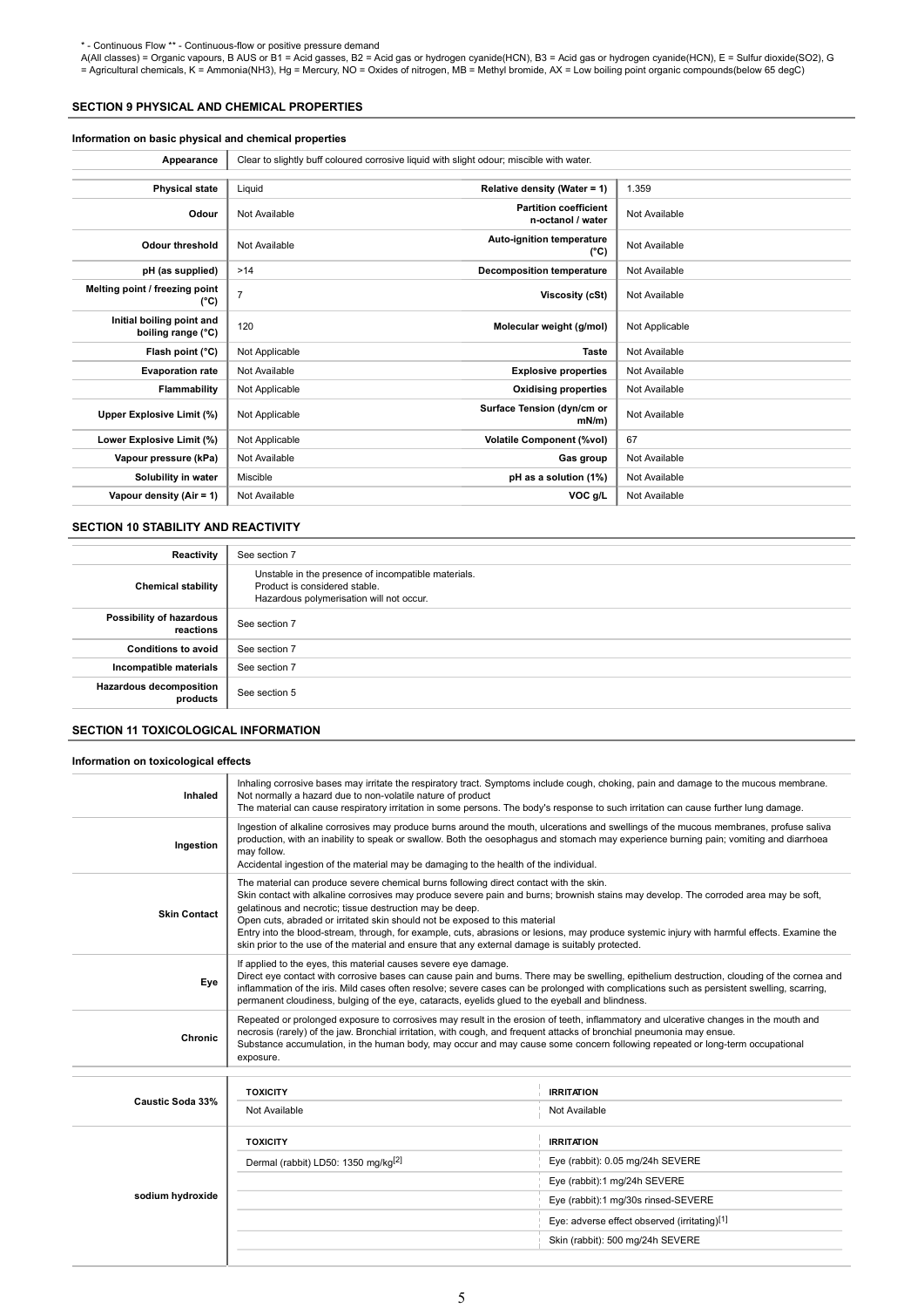\* - Continuous Flow \*\* - Continuous-flow or positive pressure demand<br>A(All classes) = Organic vapours, B AUS or B1 = Acid gasses, B2 = Acid gas or hydrogen cyanide(HCN), B3 = Acid gas or hydrogen cyanide(HCN), E = Sulfur d

# SECTION 9 PHYSICAL AND CHEMICAL PROPERTIES

# Information on basic physical and chemical properties

| Appearance                                      | Clear to slightly buff coloured corrosive liquid with slight odour; miscible with water. |                                                   |                |
|-------------------------------------------------|------------------------------------------------------------------------------------------|---------------------------------------------------|----------------|
|                                                 |                                                                                          |                                                   |                |
| <b>Physical state</b>                           | Liquid                                                                                   | Relative density (Water = 1)                      | 1.359          |
| Odour                                           | Not Available                                                                            | <b>Partition coefficient</b><br>n-octanol / water | Not Available  |
| <b>Odour threshold</b>                          | Not Available                                                                            | Auto-ignition temperature<br>$(^{\circ}C)$        | Not Available  |
| pH (as supplied)                                | >14                                                                                      | <b>Decomposition temperature</b>                  | Not Available  |
| Melting point / freezing point<br>(°C)          | 7                                                                                        | Viscosity (cSt)                                   | Not Available  |
| Initial boiling point and<br>boiling range (°C) | 120                                                                                      | Molecular weight (g/mol)                          | Not Applicable |
| Flash point (°C)                                | Not Applicable                                                                           | Taste                                             | Not Available  |
| <b>Evaporation rate</b>                         | Not Available                                                                            | <b>Explosive properties</b>                       | Not Available  |
| <b>Flammability</b>                             | Not Applicable                                                                           | <b>Oxidising properties</b>                       | Not Available  |
| Upper Explosive Limit (%)                       | Not Applicable                                                                           | Surface Tension (dyn/cm or<br>mN/m)               | Not Available  |
| Lower Explosive Limit (%)                       | Not Applicable                                                                           | <b>Volatile Component (%vol)</b>                  | 67             |
| Vapour pressure (kPa)                           | Not Available                                                                            | Gas group                                         | Not Available  |
| Solubility in water                             | Miscible                                                                                 | pH as a solution (1%)                             | Not Available  |
| Vapour density (Air = 1)                        | Not Available                                                                            | VOC g/L                                           | Not Available  |

# SECTION 10 STABILITY AND REACTIVITY

| Reactivity                                 | See section 7                                                                                                                    |
|--------------------------------------------|----------------------------------------------------------------------------------------------------------------------------------|
| <b>Chemical stability</b>                  | Unstable in the presence of incompatible materials.<br>Product is considered stable.<br>Hazardous polymerisation will not occur. |
| Possibility of hazardous<br>reactions      | See section 7                                                                                                                    |
| <b>Conditions to avoid</b>                 | See section 7                                                                                                                    |
| Incompatible materials                     | See section 7                                                                                                                    |
| <b>Hazardous decomposition</b><br>products | See section 5                                                                                                                    |

# SECTION 11 TOXICOLOGICAL INFORMATION

# Information on toxicological effects

| Inhaled             | Inhaling corrosive bases may irritate the respiratory tract. Symptoms include cough, choking, pain and damage to the mucous membrane.<br>Not normally a hazard due to non-volatile nature of product<br>The material can cause respiratory irritation in some persons. The body's response to such irritation can cause further lung damage.                                                                                                                                                                                                                                                                                  |                                                                                                                                                                                                                                                                                                                                                                           |  |  |
|---------------------|-------------------------------------------------------------------------------------------------------------------------------------------------------------------------------------------------------------------------------------------------------------------------------------------------------------------------------------------------------------------------------------------------------------------------------------------------------------------------------------------------------------------------------------------------------------------------------------------------------------------------------|---------------------------------------------------------------------------------------------------------------------------------------------------------------------------------------------------------------------------------------------------------------------------------------------------------------------------------------------------------------------------|--|--|
| Ingestion           | may follow.                                                                                                                                                                                                                                                                                                                                                                                                                                                                                                                                                                                                                   | Ingestion of alkaline corrosives may produce burns around the mouth, ulcerations and swellings of the mucous membranes, profuse saliva<br>production, with an inability to speak or swallow. Both the oesophagus and stomach may experience burning pain; vomiting and diarrhoea<br>Accidental ingestion of the material may be damaging to the health of the individual. |  |  |
| <b>Skin Contact</b> | The material can produce severe chemical burns following direct contact with the skin.<br>Skin contact with alkaline corrosives may produce severe pain and burns; brownish stains may develop. The corroded area may be soft,<br>gelatinous and necrotic; tissue destruction may be deep.<br>Open cuts, abraded or irritated skin should not be exposed to this material<br>Entry into the blood-stream, through, for example, cuts, abrasions or lesions, may produce systemic injury with harmful effects. Examine the<br>skin prior to the use of the material and ensure that any external damage is suitably protected. |                                                                                                                                                                                                                                                                                                                                                                           |  |  |
| Eye                 | If applied to the eyes, this material causes severe eye damage.<br>Direct eye contact with corrosive bases can cause pain and burns. There may be swelling, epithelium destruction, clouding of the cornea and<br>inflammation of the iris. Mild cases often resolve; severe cases can be prolonged with complications such as persistent swelling, scarring,<br>permanent cloudiness, bulging of the eye, cataracts, eyelids glued to the eyeball and blindness.                                                                                                                                                             |                                                                                                                                                                                                                                                                                                                                                                           |  |  |
| Chronic             | Repeated or prolonged exposure to corrosives may result in the erosion of teeth, inflammatory and ulcerative changes in the mouth and<br>necrosis (rarely) of the jaw. Bronchial irritation, with cough, and frequent attacks of bronchial pneumonia may ensue.<br>Substance accumulation, in the human body, may occur and may cause some concern following repeated or long-term occupational<br>exposure.                                                                                                                                                                                                                  |                                                                                                                                                                                                                                                                                                                                                                           |  |  |
|                     |                                                                                                                                                                                                                                                                                                                                                                                                                                                                                                                                                                                                                               |                                                                                                                                                                                                                                                                                                                                                                           |  |  |
|                     |                                                                                                                                                                                                                                                                                                                                                                                                                                                                                                                                                                                                                               |                                                                                                                                                                                                                                                                                                                                                                           |  |  |
|                     | <b>TOXICITY</b>                                                                                                                                                                                                                                                                                                                                                                                                                                                                                                                                                                                                               | <b>IRRITATION</b>                                                                                                                                                                                                                                                                                                                                                         |  |  |
| Caustic Soda 33%    | Not Available                                                                                                                                                                                                                                                                                                                                                                                                                                                                                                                                                                                                                 | Not Available                                                                                                                                                                                                                                                                                                                                                             |  |  |
|                     | <b>TOXICITY</b>                                                                                                                                                                                                                                                                                                                                                                                                                                                                                                                                                                                                               | <b>IRRITATION</b>                                                                                                                                                                                                                                                                                                                                                         |  |  |
|                     | Dermal (rabbit) LD50: 1350 mg/kg <sup>[2]</sup>                                                                                                                                                                                                                                                                                                                                                                                                                                                                                                                                                                               | Eye (rabbit): 0.05 mg/24h SEVERE                                                                                                                                                                                                                                                                                                                                          |  |  |
|                     |                                                                                                                                                                                                                                                                                                                                                                                                                                                                                                                                                                                                                               | Eye (rabbit):1 mg/24h SEVERE                                                                                                                                                                                                                                                                                                                                              |  |  |
| sodium hydroxide    |                                                                                                                                                                                                                                                                                                                                                                                                                                                                                                                                                                                                                               | Eye (rabbit):1 mg/30s rinsed-SEVERE                                                                                                                                                                                                                                                                                                                                       |  |  |
|                     |                                                                                                                                                                                                                                                                                                                                                                                                                                                                                                                                                                                                                               | Eye: adverse effect observed (irritating)[1]                                                                                                                                                                                                                                                                                                                              |  |  |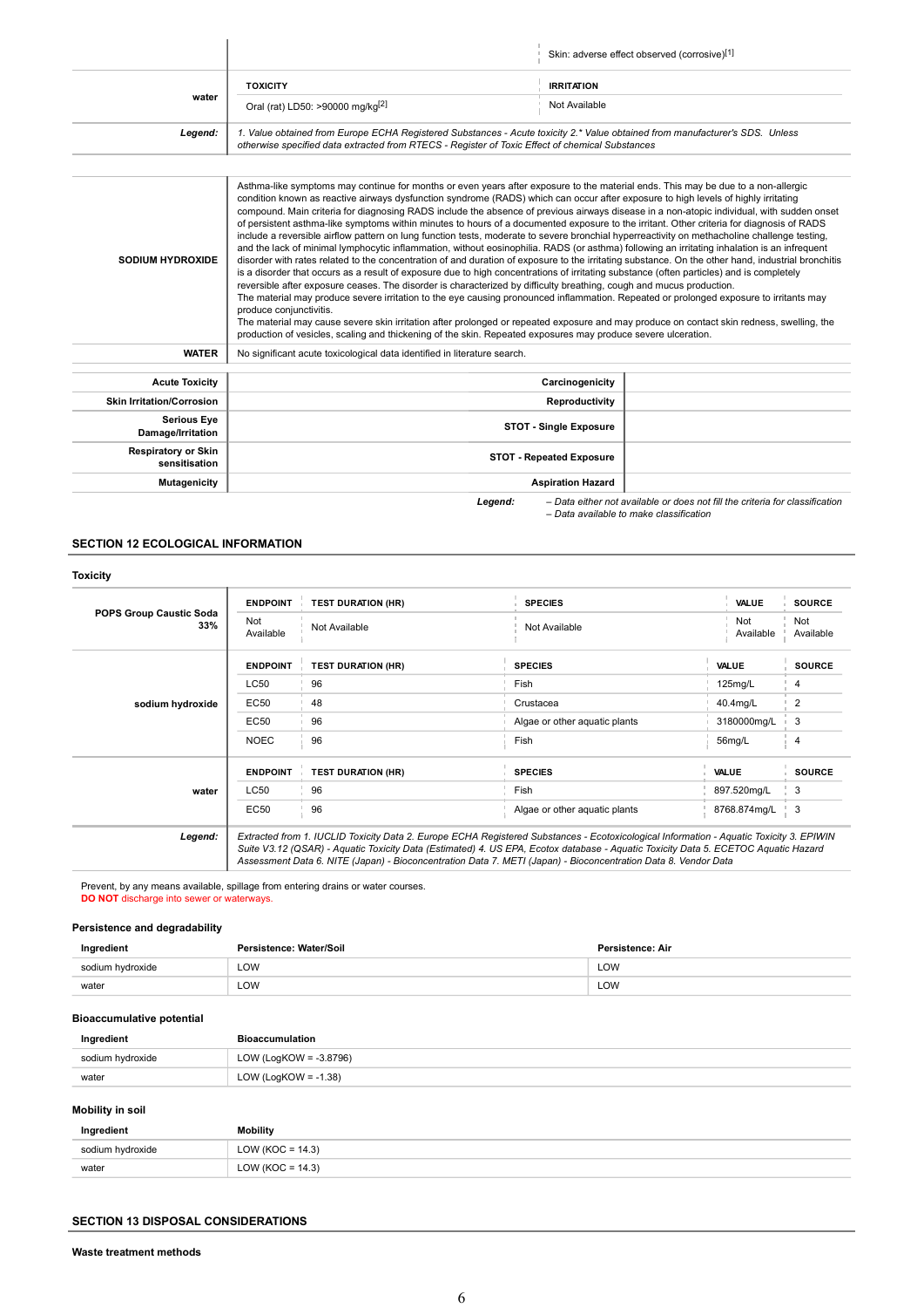|                                             |                                                                                                                                                                                                                                                                                                                                                                                                                                                                                                                                                                                                                                                                                                                                                                                                                                                                                                                                                                                                                                                                                                                                                                                                                                                                                                                                                                                                                                                                                                                                                                                                                                                                                                                                |                                 | Skin: adverse effect observed (corrosive)[1]                                 |
|---------------------------------------------|--------------------------------------------------------------------------------------------------------------------------------------------------------------------------------------------------------------------------------------------------------------------------------------------------------------------------------------------------------------------------------------------------------------------------------------------------------------------------------------------------------------------------------------------------------------------------------------------------------------------------------------------------------------------------------------------------------------------------------------------------------------------------------------------------------------------------------------------------------------------------------------------------------------------------------------------------------------------------------------------------------------------------------------------------------------------------------------------------------------------------------------------------------------------------------------------------------------------------------------------------------------------------------------------------------------------------------------------------------------------------------------------------------------------------------------------------------------------------------------------------------------------------------------------------------------------------------------------------------------------------------------------------------------------------------------------------------------------------------|---------------------------------|------------------------------------------------------------------------------|
|                                             | <b>TOXICITY</b>                                                                                                                                                                                                                                                                                                                                                                                                                                                                                                                                                                                                                                                                                                                                                                                                                                                                                                                                                                                                                                                                                                                                                                                                                                                                                                                                                                                                                                                                                                                                                                                                                                                                                                                | <b>IRRITATION</b>               |                                                                              |
| water                                       | Oral (rat) LD50: >90000 mg/kg <sup>[2]</sup>                                                                                                                                                                                                                                                                                                                                                                                                                                                                                                                                                                                                                                                                                                                                                                                                                                                                                                                                                                                                                                                                                                                                                                                                                                                                                                                                                                                                                                                                                                                                                                                                                                                                                   | Not Available                   |                                                                              |
| Legend:                                     | 1. Value obtained from Europe ECHA Registered Substances - Acute toxicity 2.* Value obtained from manufacturer's SDS. Unless<br>otherwise specified data extracted from RTECS - Register of Toxic Effect of chemical Substances                                                                                                                                                                                                                                                                                                                                                                                                                                                                                                                                                                                                                                                                                                                                                                                                                                                                                                                                                                                                                                                                                                                                                                                                                                                                                                                                                                                                                                                                                                |                                 |                                                                              |
|                                             |                                                                                                                                                                                                                                                                                                                                                                                                                                                                                                                                                                                                                                                                                                                                                                                                                                                                                                                                                                                                                                                                                                                                                                                                                                                                                                                                                                                                                                                                                                                                                                                                                                                                                                                                |                                 |                                                                              |
| <b>SODIUM HYDROXIDE</b>                     | Asthma-like symptoms may continue for months or even years after exposure to the material ends. This may be due to a non-allergic<br>condition known as reactive airways dysfunction syndrome (RADS) which can occur after exposure to high levels of highly irritating<br>compound. Main criteria for diagnosing RADS include the absence of previous airways disease in a non-atopic individual, with sudden onset<br>of persistent asthma-like symptoms within minutes to hours of a documented exposure to the irritant. Other criteria for diagnosis of RADS<br>include a reversible airflow pattern on lung function tests, moderate to severe bronchial hyperreactivity on methacholine challenge testing,<br>and the lack of minimal lymphocytic inflammation, without eosinophilia. RADS (or asthma) following an irritating inhalation is an infrequent<br>disorder with rates related to the concentration of and duration of exposure to the irritating substance. On the other hand, industrial bronchitis<br>is a disorder that occurs as a result of exposure due to high concentrations of irritating substance (often particles) and is completely<br>reversible after exposure ceases. The disorder is characterized by difficulty breathing, cough and mucus production.<br>The material may produce severe irritation to the eye causing pronounced inflammation. Repeated or prolonged exposure to irritants may<br>produce conjunctivitis.<br>The material may cause severe skin irritation after prolonged or repeated exposure and may produce on contact skin redness, swelling, the<br>production of vesicles, scaling and thickening of the skin. Repeated exposures may produce severe ulceration. |                                 |                                                                              |
| <b>WATER</b>                                | No significant acute toxicological data identified in literature search.                                                                                                                                                                                                                                                                                                                                                                                                                                                                                                                                                                                                                                                                                                                                                                                                                                                                                                                                                                                                                                                                                                                                                                                                                                                                                                                                                                                                                                                                                                                                                                                                                                                       |                                 |                                                                              |
| <b>Acute Toxicity</b>                       |                                                                                                                                                                                                                                                                                                                                                                                                                                                                                                                                                                                                                                                                                                                                                                                                                                                                                                                                                                                                                                                                                                                                                                                                                                                                                                                                                                                                                                                                                                                                                                                                                                                                                                                                | Carcinogenicity                 |                                                                              |
| <b>Skin Irritation/Corrosion</b>            |                                                                                                                                                                                                                                                                                                                                                                                                                                                                                                                                                                                                                                                                                                                                                                                                                                                                                                                                                                                                                                                                                                                                                                                                                                                                                                                                                                                                                                                                                                                                                                                                                                                                                                                                | Reproductivity                  |                                                                              |
| <b>Serious Eye</b><br>Damage/Irritation     |                                                                                                                                                                                                                                                                                                                                                                                                                                                                                                                                                                                                                                                                                                                                                                                                                                                                                                                                                                                                                                                                                                                                                                                                                                                                                                                                                                                                                                                                                                                                                                                                                                                                                                                                | <b>STOT - Single Exposure</b>   |                                                                              |
| <b>Respiratory or Skin</b><br>sensitisation |                                                                                                                                                                                                                                                                                                                                                                                                                                                                                                                                                                                                                                                                                                                                                                                                                                                                                                                                                                                                                                                                                                                                                                                                                                                                                                                                                                                                                                                                                                                                                                                                                                                                                                                                | <b>STOT - Repeated Exposure</b> |                                                                              |
| Mutagenicity                                |                                                                                                                                                                                                                                                                                                                                                                                                                                                                                                                                                                                                                                                                                                                                                                                                                                                                                                                                                                                                                                                                                                                                                                                                                                                                                                                                                                                                                                                                                                                                                                                                                                                                                                                                | <b>Aspiration Hazard</b>        |                                                                              |
|                                             | Legend:                                                                                                                                                                                                                                                                                                                                                                                                                                                                                                                                                                                                                                                                                                                                                                                                                                                                                                                                                                                                                                                                                                                                                                                                                                                                                                                                                                                                                                                                                                                                                                                                                                                                                                                        |                                 | - Data either not available or does not fill the criteria for classification |

– Data available to make classification

# SECTION 12 ECOLOGICAL INFORMATION

 $\bar{1}$ 

|                                       | <b>ENDPOINT</b>  | <b>TEST DURATION (HR)</b> | <b>SPECIES</b>                | <b>VALUE</b>     | <b>SOURCE</b>    |
|---------------------------------------|------------------|---------------------------|-------------------------------|------------------|------------------|
| <b>POPS Group Caustic Soda</b><br>33% | Not<br>Available | Not Available             | Not Available                 | Not<br>Available | Not<br>Available |
|                                       | <b>ENDPOINT</b>  | <b>TEST DURATION (HR)</b> | <b>SPECIES</b>                | <b>VALUE</b>     | <b>SOURCE</b>    |
|                                       | <b>LC50</b>      | 96                        | Fish                          | 125mg/L          | 4                |
| sodium hydroxide                      | EC50             | 48                        | Crustacea                     | 40.4mg/L         | 2                |
|                                       | EC50             | 96                        | Algae or other aquatic plants | 3180000mg/L      | 3                |
|                                       | <b>NOEC</b>      | 96                        | Fish                          | 56mg/L           | 4                |
|                                       | <b>ENDPOINT</b>  | <b>TEST DURATION (HR)</b> | <b>SPECIES</b>                | <b>VALUE</b>     | <b>SOURCE</b>    |
| water                                 | LC50             | 96                        | Fish                          | 897.520mg/L      | 3                |
|                                       | EC50             | 96                        | Algae or other aquatic plants | 8768.874mg/L     | 3                |

Prevent, by any means available, spillage from entering drains or water courses. DO NOT discharge into sewer or waterways.

# Persistence and degradability

| Ingredient            | stence: Water/Soil<br>Da,<br>____ | Persistence: Air |
|-----------------------|-----------------------------------|------------------|
| i hvdroxide<br>sodium | LOW                               | LOW              |
| water                 | LOW                               | LOW              |

# Bioaccumulative potential

| Ingredient       | <b>Bioaccumulation</b>  |
|------------------|-------------------------|
| sodium hydroxide | LOW (LogKOW = -3.8796)  |
| water            | LOW (LogKOW = $-1.38$ ) |
|                  |                         |

# Mobility in soil

| Ingredient          | <b>Mobility</b>      |
|---------------------|----------------------|
| <b>SONI</b><br>wiut | LOW ( $KOC = 14.3$ ) |
| water               | LOW (KOC = $14.3$ )  |

# SECTION 13 DISPOSAL CONSIDERATIONS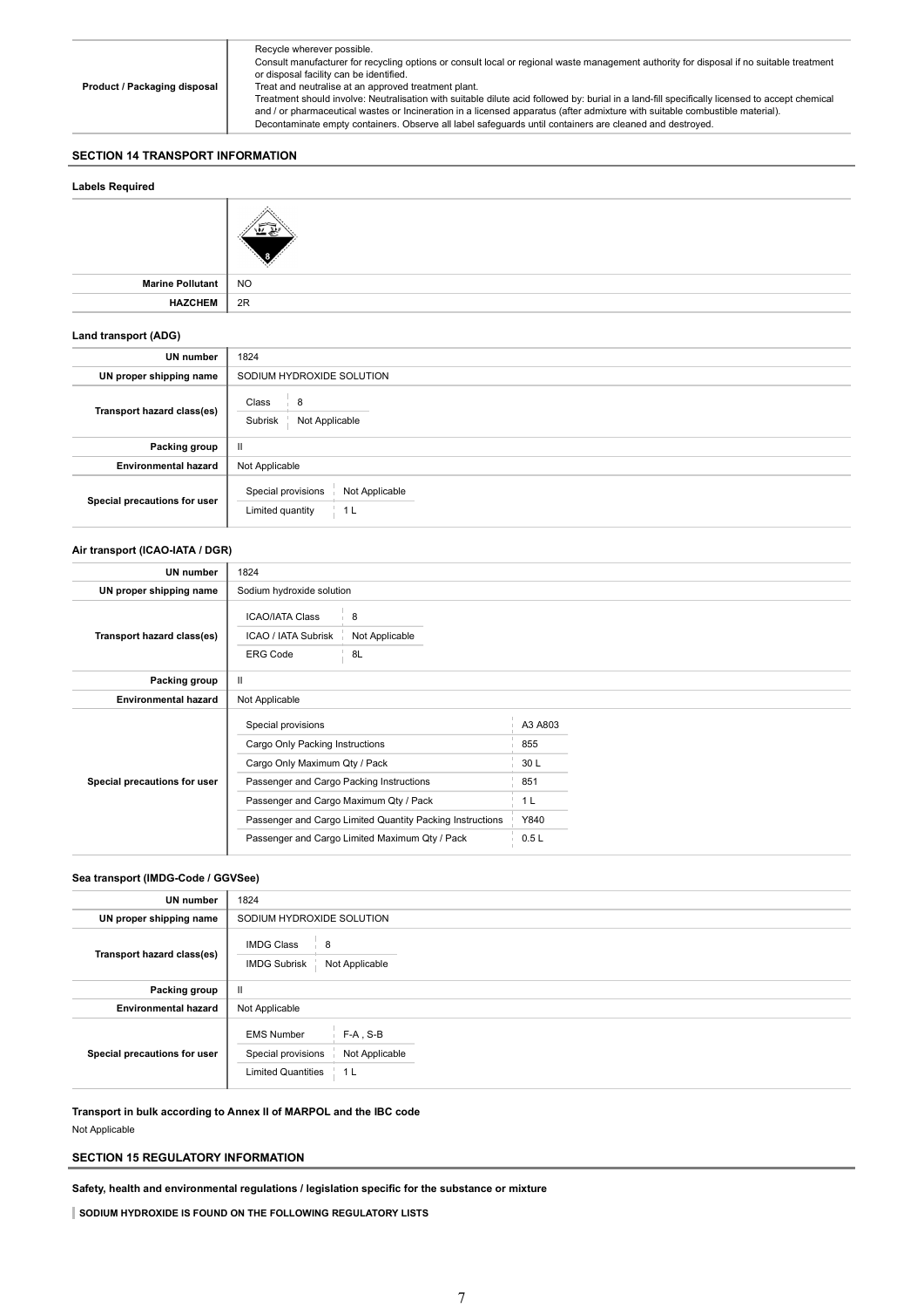Product / Packaging disposal Recycle wherever possible. Consult manufacturer for recycling options or consult local or regional waste management authority for disposal if no suitable treatment or disposal facility can be identified. Treat and neutralise at an approved treatment plant. Treatment should involve: Neutralisation with suitable dilute acid followed by: burial in a land-fill specifically licensed to accept chemical and / or pharmaceutical wastes or Incineration in a licensed apparatus (after admixture with suitable combustible material). Decontaminate empty containers. Observe all label safeguards until containers are cleaned and destroyed.

# SECTION 14 TRANSPORT INFORMATION

# Labels Required Marine Pollutant NO HAZCHEM 2R Land transport (ADG) UN number  $\Big|$  1824

| UN proper shipping name      | SODIUM HYDROXIDE SOLUTION                                         |
|------------------------------|-------------------------------------------------------------------|
| Transport hazard class(es)   | Class<br>8<br>Subrisk<br>Not Applicable                           |
| Packing group                | Ш                                                                 |
| <b>Environmental hazard</b>  | Not Applicable                                                    |
| Special precautions for user | Special provisions<br>Not Applicable<br>Limited quantity<br>- 1 L |

# Air transport (ICAO-IATA / DGR)

| UN number                    | 1824                                                                                                                                                                                                                                                                                        |                           |                                                                 |  |
|------------------------------|---------------------------------------------------------------------------------------------------------------------------------------------------------------------------------------------------------------------------------------------------------------------------------------------|---------------------------|-----------------------------------------------------------------|--|
| UN proper shipping name      | Sodium hydroxide solution                                                                                                                                                                                                                                                                   |                           |                                                                 |  |
| Transport hazard class(es)   | <b>ICAO/IATA Class</b><br>ICAO / IATA Subrisk<br><b>ERG Code</b>                                                                                                                                                                                                                            | 8<br>Not Applicable<br>8L |                                                                 |  |
| Packing group                | Ш                                                                                                                                                                                                                                                                                           |                           |                                                                 |  |
| <b>Environmental hazard</b>  | Not Applicable                                                                                                                                                                                                                                                                              |                           |                                                                 |  |
| Special precautions for user | Special provisions<br>Cargo Only Packing Instructions<br>Cargo Only Maximum Qty / Pack<br>Passenger and Cargo Packing Instructions<br>Passenger and Cargo Maximum Qty / Pack<br>Passenger and Cargo Limited Quantity Packing Instructions<br>Passenger and Cargo Limited Maximum Qty / Pack |                           | A3 A803<br>855<br>30 L<br>851<br>1 <sub>L</sub><br>Y840<br>0.5L |  |

# Sea transport (IMDG-Code / GGVSee)

| UN number                    | 1824                                                                                                                    |
|------------------------------|-------------------------------------------------------------------------------------------------------------------------|
| UN proper shipping name      | SODIUM HYDROXIDE SOLUTION                                                                                               |
| Transport hazard class(es)   | <b>IMDG Class</b><br>8<br><b>IMDG Subrisk</b><br>Not Applicable                                                         |
| Packing group                | Ш                                                                                                                       |
| <b>Environmental hazard</b>  | Not Applicable                                                                                                          |
| Special precautions for user | $F-A$ , S-B<br><b>EMS Number</b><br>Special provisions<br>Not Applicable<br><b>Limited Quantities</b><br>1 <sup>L</sup> |

Transport in bulk according to Annex II of MARPOL and the IBC code Not Applicable

# SECTION 15 REGULATORY INFORMATION

Safety, health and environmental regulations / legislation specific for the substance or mixture

SODIUM HYDROXIDE IS FOUND ON THE FOLLOWING REGULATORY LISTS